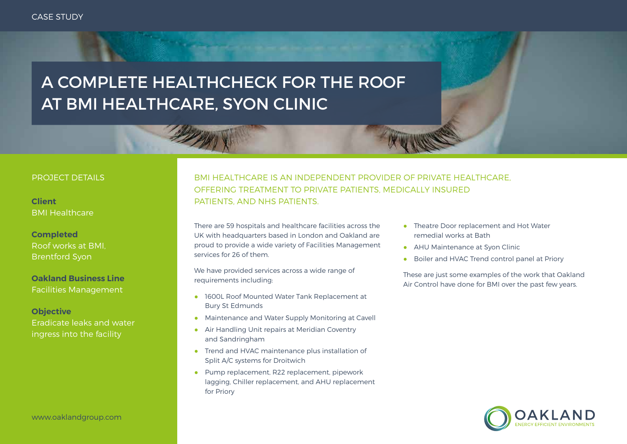# A COMPLETE HEALTHCHECK FOR THE ROOF AT BMI HEALTHCARE, SYON CLINIC

#### PROJECT DETAILS

BMI Healthcare

### **Completed** Roof works at BMI, Brentford Syon

#### **Oakland Business Line** Facilities Management

**Objective** Eradicate leaks and water ingress into the facility

## BMI HEALTHCARE IS AN INDEPENDENT PROVIDER OF PRIVATE HEALTHCARE, OFFERING TREATMENT TO PRIVATE PATIENTS, MEDICALLY INSURED **Client PATIENTS, AND NHS PATIENTS.**

There are 59 hospitals and healthcare facilities across the UK with headquarters based in London and Oakland are proud to provide a wide variety of Facilities Management services for 26 of them.

We have provided services across a wide range of requirements including:

- 1600L Roof Mounted Water Tank Replacement at Bury St Edmunds
- Maintenance and Water Supply Monitoring at Cavell
- Air Handling Unit repairs at Meridian Coventry and Sandringham
- Trend and HVAC maintenance plus installation of Split A/C systems for Droitwich
- Pump replacement, R22 replacement, pipework lagging, Chiller replacement, and AHU replacement for Priory
- Theatre Door replacement and Hot Water remedial works at Bath
- AHU Maintenance at Svon Clinic
- Boiler and HVAC Trend control panel at Priory

These are just some examples of the work that Oakland Air Control have done for BMI over the past few years.